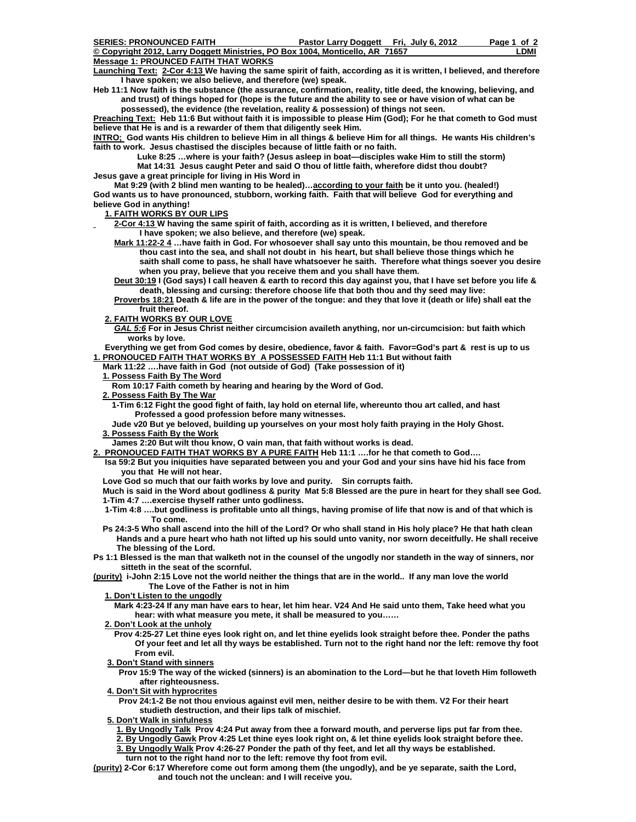| <b>SERIES: PRONOUNCED FAITH</b>                                               | Pastor Larry Doggett Fri. July 6, 2012 | Page 1 of 2 |
|-------------------------------------------------------------------------------|----------------------------------------|-------------|
| © Copyright 2012, Larry Doggett Ministries, PO Box 1004, Monticello, AR 71657 |                                        | _DMI        |
| Message 1: PROUNCED FAITH THAT WORKS                                          |                                        |             |

**Launching Text: 2-Cor 4:13 We having the same spirit of faith, according as it is written, I believed, and therefore I have spoken; we also believe, and therefore (we) speak.** 

**Heb 11:1 Now faith is the substance (the assurance, confirmation, reality, title deed, the knowing, believing, and and trust) of things hoped for (hope is the future and the ability to see or have vision of what can be possessed), the evidence (the revelation, reality & possession) of things not seen.** 

**Preaching Text: Heb 11:6 But without faith it is impossible to please Him (God); For he that cometh to God must believe that He is and is a rewarder of them that diligently seek Him.** 

**INTRO; God wants His children to believe Him in all things & believe Him for all things. He wants His children's faith to work. Jesus chastised the disciples because of little faith or no faith.** 

 **Luke 8:25 …where is your faith? (Jesus asleep in boat—disciples wake Him to still the storm) Mat 14:31 Jesus caught Peter and said O thou of little faith, wherefore didst thou doubt? Jesus gave a great principle for living in His Word in** 

 **Mat 9:29 (with 2 blind men wanting to be healed)…according to your faith be it unto you. (healed!) God wants us to have pronounced, stubborn, working faith. Faith that will believe God for everything and believe God in anything!** 

 **1. FAITH WORKS BY OUR LIPS**

 **2-Cor 4:13 W having the same spirit of faith, according as it is written, I believed, and therefore I have spoken; we also believe, and therefore (we) speak.** 

 **Mark 11:22-2 4 …have faith in God. For whosoever shall say unto this mountain, be thou removed and be thou cast into the sea, and shall not doubt in his heart, but shall believe those things which he saith shall come to pass, he shall have whatsoever he saith. Therefore what things soever you desire when you pray, believe that you receive them and you shall have them.** 

 **Deut 30:19 I (God says) I call heaven & earth to record this day against you, that I have set before you life & death, blessing and cursing: therefore choose life that both thou and thy seed may live:** 

 **Proverbs 18:21 Death & life are in the power of the tongue: and they that love it (death or life) shall eat the fruit thereof.** 

 **2. FAITH WORKS BY OUR LOVE**

*GAL 5:6* **For in Jesus Christ neither circumcision availeth anything, nor un-circumcision: but faith which works by love.** 

 **Everything we get from God comes by desire, obedience, favor & faith. Favor=God's part & rest is up to us 1. PRONOUCED FAITH THAT WORKS BY A POSSESSED FAITH Heb 11:1 But without faith** 

 **Mark 11:22 ….have faith in God (not outside of God) (Take possession of it)** 

 **1. Possess Faith By The Word**

 **Rom 10:17 Faith cometh by hearing and hearing by the Word of God.** 

- **2. Possess Faith By The War**
- **1-Tim 6:12 Fight the good fight of faith, lay hold on eternal life, whereunto thou art called, and hast Professed a good profession before many witnesses.**
- **Jude v20 But ye beloved, building up yourselves on your most holy faith praying in the Holy Ghost. 3. Possess Faith By the Work**
- **James 2:20 But wilt thou know, O vain man, that faith without works is dead.**
- **2. PRONOUCED FAITH THAT WORKS BY A PURE FAITH Heb 11:1 ….for he that cometh to God….** 
	- **Isa 59:2 But you iniquities have separated between you and your God and your sins have hid his face from you that He will not hear.**
	- **Love God so much that our faith works by love and purity. Sin corrupts faith.**

 **Much is said in the Word about godliness & purity Mat 5:8 Blessed are the pure in heart for they shall see God. 1-Tim 4:7 ….exercise thyself rather unto godliness.** 

- **1-Tim 4:8 ….but godliness is profitable unto all things, having promise of life that now is and of that which is To come.**
- **Ps 24:3-5 Who shall ascend into the hill of the Lord? Or who shall stand in His holy place? He that hath clean Hands and a pure heart who hath not lifted up his sould unto vanity, nor sworn deceitfully. He shall receive The blessing of the Lord.**

**Ps 1:1 Blessed is the man that walketh not in the counsel of the ungodly nor standeth in the way of sinners, nor sitteth in the seat of the scornful.** 

**(purity) i-John 2:15 Love not the world neither the things that are in the world.. If any man love the world The Love of the Father is not in him** 

 **1. Don't Listen to the ungodly**

 **Mark 4:23-24 If any man have ears to hear, let him hear. V24 And He said unto them, Take heed what you hear: with what measure you mete, it shall be measured to you……** 

 **2. Don't Look at the unholy**

- **Prov 4:25-27 Let thine eyes look right on, and let thine eyelids look straight before thee. Ponder the paths Of your feet and let all thy ways be established. Turn not to the right hand nor the left: remove thy foot From evil.**
- **3. Don't Stand with sinners**
	- **Prov 15:9 The way of the wicked (sinners) is an abomination to the Lord—but he that loveth Him followeth after righteousness.**
- **4. Don't Sit with hyprocrites**

 **Prov 24:1-2 Be not thou envious against evil men, neither desire to be with them. V2 For their heart studieth destruction, and their lips talk of mischief.** 

 **5. Don't Walk in sinfulness**

 **1. By Ungodly Talk Prov 4:24 Put away from thee a forward mouth, and perverse lips put far from thee.** 

 **2. By Ungodly Gawk Prov 4:25 Let thine eyes look right on, & let thine eyelids look straight before thee. 3. By Ungodly Walk Prov 4:26-27 Ponder the path of thy feet, and let all thy ways be established.** 

 **turn not to the right hand nor to the left: remove thy foot from evil.** 

**(purity) 2-Cor 6:17 Wherefore come out form among them (the ungodly), and be ye separate, saith the Lord, and touch not the unclean: and I will receive you.**